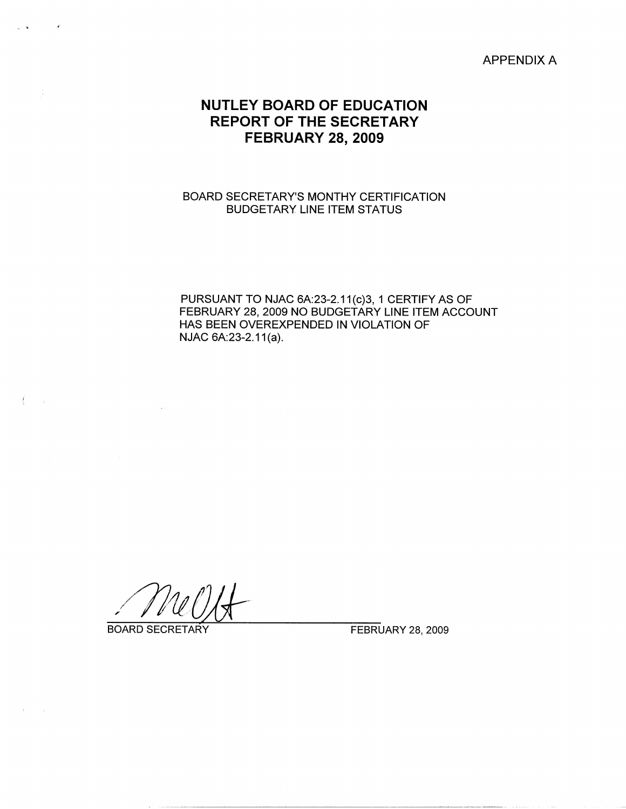APPENDIX A

# **NUTLEY BOARD OF EDUCATION REPORT OF THE SECRETARY FEBRUARY 28, 2009**

## BOARD SECRETARY'S MONTHY CERTIFICATION BUDGETARY LINE ITEM STATUS

PURSUANT TO NJAC 6A:23-2.11(c)3, 1 CERTIFY AS OF FEBRUARY 28, 2009 NO BUDGETARY LINE ITEM ACCOUNT HAS BEEN OVEREXPENDED IN VIOLATION OF NJAC 6A:23-2.11(a).

BOARD SECRETARY FEBRUARY 28, 2009

 $\left(\begin{array}{ccc} 1 & 1 \\ 1 & 1 \end{array}\right)$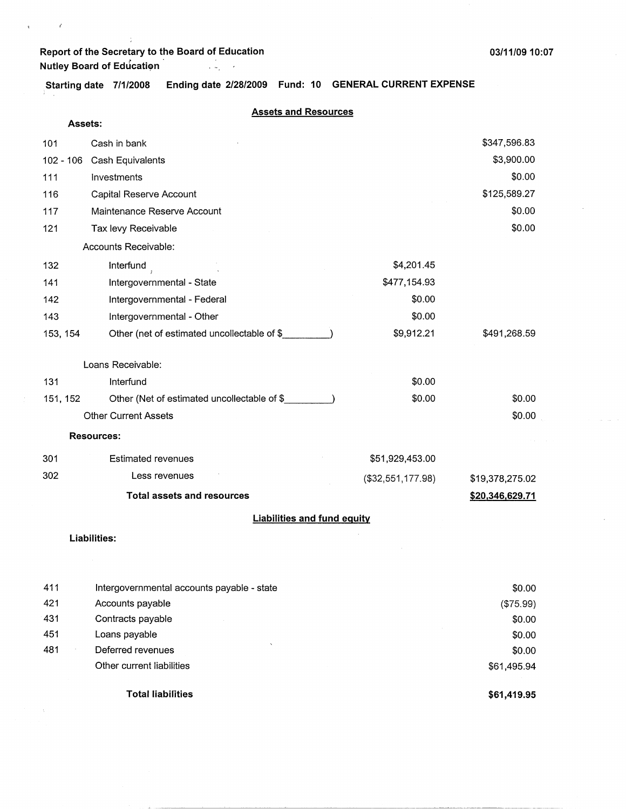# **Report of the Secretary to the Board of Education 03/11/09 10:07** r . **Nutley Board of Educati~n**

 $\ddot{\phantom{a}}$ 

 $\ell$ 

**Starting date 7/1/2008 Ending date 2/28/2009 Fund: 10 GENERAL CURRENT EXPENSE** 

| Assets:  |                                             |                   |                        |
|----------|---------------------------------------------|-------------------|------------------------|
| 101      | Cash in bank                                |                   | \$347,596.83           |
|          | 102 - 106 Cash Equivalents                  |                   | \$3,900.00             |
| 111      | Investments                                 |                   | \$0.00                 |
| 116      | Capital Reserve Account                     |                   | \$125,589.27           |
| 117      | Maintenance Reserve Account                 |                   | \$0.00                 |
| 121      | Tax levy Receivable                         |                   | \$0.00                 |
|          | Accounts Receivable:                        |                   |                        |
| 132      | Interfund                                   | \$4,201.45        |                        |
| 141      | Intergovernmental - State                   | \$477,154.93      |                        |
| 142      | Intergovernmental - Federal                 | \$0.00            |                        |
| 143      | Intergovernmental - Other                   | \$0.00            |                        |
| 153, 154 | Other (net of estimated uncollectable of \$ | \$9,912.21        | \$491,268.59           |
|          |                                             |                   |                        |
|          | Loans Receivable:                           |                   |                        |
| 131      | Interfund                                   | \$0.00            |                        |
| 151, 152 | Other (Net of estimated uncollectable of \$ | \$0.00            | \$0.00                 |
|          | <b>Other Current Assets</b>                 |                   | \$0.00                 |
|          | <b>Resources:</b>                           |                   |                        |
| 301      | <b>Estimated revenues</b>                   | \$51,929,453.00   |                        |
| 302      | Less revenues                               | (\$32,551,177.98) | \$19,378,275.02        |
|          | <b>Total assets and resources</b>           |                   | <u>\$20,346,629.71</u> |
|          | <b>Liabilities and fund equity</b>          |                   |                        |
|          | Liabilities:                                |                   |                        |
|          |                                             |                   |                        |
|          |                                             |                   |                        |

|     | <b>Total liabilities</b>                   | \$61,419.95 |
|-----|--------------------------------------------|-------------|
|     | Other current liabilities                  | \$61,495.94 |
| 481 | Deferred revenues                          | \$0.00      |
| 451 | Loans payable                              | \$0.00      |
| 431 | Contracts payable                          | \$0.00      |
| 421 | Accounts payable                           | (\$75.99)   |
| 411 | Intergovernmental accounts payable - state | \$0.00      |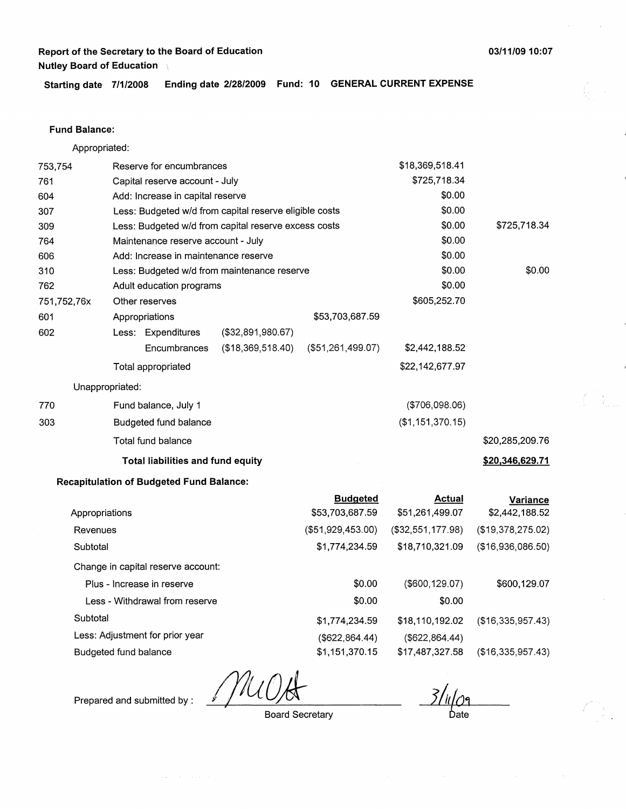**Starting date 7/1/2008 Ending date 2/28/2009 Fund: 10 GENERAL CURRENT EXPENSE** 

## **Fund Balance:**

Appropriated:

| 753,754        |                 | Reserve for encumbrances                        |                                                        |                   | \$18,369,518.41   |                   |
|----------------|-----------------|-------------------------------------------------|--------------------------------------------------------|-------------------|-------------------|-------------------|
| 761            |                 | Capital reserve account - July                  |                                                        |                   | \$725,718.34      |                   |
| 604            |                 | Add: Increase in capital reserve                |                                                        |                   | \$0.00            |                   |
| 307            |                 |                                                 | Less: Budgeted w/d from capital reserve eligible costs | \$0.00            |                   |                   |
| 309            |                 |                                                 | Less: Budgeted w/d from capital reserve excess costs   |                   | \$0.00            | \$725,718.34      |
| 764            |                 | Maintenance reserve account - July              |                                                        |                   | \$0.00            |                   |
| 606            |                 | Add: Increase in maintenance reserve            |                                                        |                   | \$0.00            |                   |
| 310            |                 |                                                 | Less: Budgeted w/d from maintenance reserve            |                   | \$0.00            | \$0.00            |
| 762            |                 | Adult education programs                        |                                                        |                   | \$0.00            |                   |
| 751,752,76x    |                 | Other reserves                                  |                                                        |                   | \$605,252.70      |                   |
| 601            |                 | Appropriations                                  |                                                        | \$53,703,687.59   |                   |                   |
| 602            |                 | Less: Expenditures                              | (\$32,891,980.67)                                      |                   |                   |                   |
|                |                 | Encumbrances                                    | (\$18,369,518.40)                                      | (\$51,261,499.07) | \$2,442,188.52    |                   |
|                |                 | Total appropriated                              |                                                        |                   | \$22,142,677.97   |                   |
|                | Unappropriated: |                                                 |                                                        |                   |                   |                   |
| 770            |                 | Fund balance, July 1                            |                                                        |                   | (\$706,098.06)    |                   |
| 303            |                 | Budgeted fund balance                           |                                                        |                   | (\$1,151,370.15)  |                   |
|                |                 | Total fund balance                              |                                                        |                   |                   | \$20,285,209.76   |
|                |                 | Total liabilities and fund equity               |                                                        |                   |                   | \$20,346,629.71   |
|                |                 | <b>Recapitulation of Budgeted Fund Balance:</b> |                                                        |                   |                   |                   |
|                |                 |                                                 |                                                        | <b>Budgeted</b>   | <b>Actual</b>     | <b>Variance</b>   |
| Appropriations |                 |                                                 |                                                        | \$53,703,687.59   | \$51,261,499.07   | \$2,442,188.52    |
| Revenues       |                 |                                                 |                                                        | (\$51,929,453.00) | (\$32,551,177.98) | (\$19,378,275.02) |
| Subtotal       |                 |                                                 |                                                        | \$1,774,234.59    | \$18,710,321.09   | (\$16,936,086.50) |
|                |                 | Change in capital reserve account:              |                                                        |                   |                   |                   |

Plus - Increase in reserve Less - Withdrawal from reserve Subtotal Less: Adjustment for prior year Budgeted fund balance \$0.00 \$0.00 \$1,774,234.59 (\$622,864.44) \$1,151,370.15 (\$600,129.07) \$0.00 \$18,110,192.02 (\$622,864.44) \$17,487,327.58

\$600,129.07

(\$16,335,957.43)

(\$16,335,957.43)

Board Secretary

Ьate

 $\mathcal{L}(\mathfrak{p}_1) = \mathcal{L}(\mathfrak{p}_1)$  ,  $\mathcal{L}(\mathfrak{p}_2)$  ,  $\mathcal{L}(\mathfrak{p}_3)$ 

Prepared and submitted by :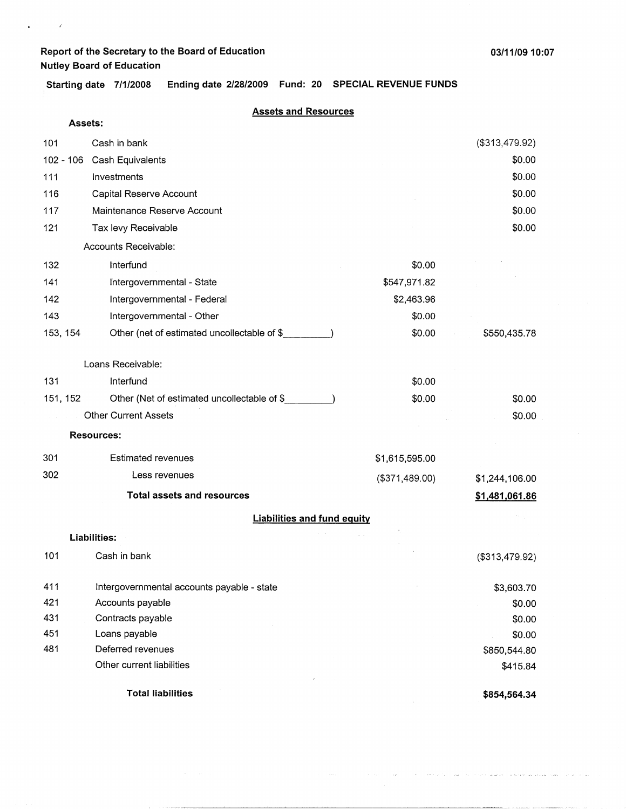$\mathcal{L}^{\mathcal{L}}$  and  $\mathcal{L}^{\mathcal{L}}$  $\hat{\mathbf{r}}$ 

 $\hat{\mathbf{r}}^{(i)}$  , where  $\hat{\mathbf{r}}^{(i)}$  , and the field of the space of the state space and the space

. **Starting date 7/1/2008 Ending date 2/28/2009 Fund: 20 SPECIAL REVENUE FUNDS** 

| Assets:   |                                             |                |                |
|-----------|---------------------------------------------|----------------|----------------|
| 101       | Cash in bank                                |                | (\$313,479.92) |
| 102 - 106 | Cash Equivalents                            |                | \$0.00         |
| 111       | Investments                                 |                | \$0.00         |
| 116       | Capital Reserve Account                     |                | \$0.00         |
| 117       | Maintenance Reserve Account                 |                | \$0.00         |
| 121       | Tax levy Receivable                         |                | \$0.00         |
|           | Accounts Receivable:                        |                |                |
| 132       | Interfund                                   | \$0.00         |                |
| 141       | Intergovernmental - State                   | \$547,971.82   |                |
| 142       | Intergovernmental - Federal                 | \$2,463.96     |                |
| 143       | Intergovernmental - Other                   | \$0.00         |                |
| 153, 154  | Other (net of estimated uncollectable of \$ | \$0.00         | \$550,435.78   |
|           | Loans Receivable:                           |                |                |
| 131       | Interfund                                   | \$0.00         |                |
| 151, 152  | Other (Net of estimated uncollectable of \$ | \$0.00         | \$0.00         |
|           | <b>Other Current Assets</b>                 |                | \$0.00         |
|           | <b>Resources:</b>                           |                |                |
| 301       | <b>Estimated revenues</b>                   | \$1,615,595.00 |                |
| 302       | Less revenues                               | (\$371,489.00) | \$1,244,106.00 |
|           | <b>Total assets and resources</b>           |                | \$1,481,061.86 |
|           | <b>Liabilities and fund equity</b>          |                |                |
|           | <b>Liabilities:</b>                         |                |                |
| 101       | Cash in bank                                |                | (\$313,479.92) |
| 411       | Intergovernmental accounts payable - state  |                | \$3,603.70     |
| 421       | Accounts payable                            |                | \$0.00         |
| 431       | Contracts payable                           |                | \$0.00         |
| 451       | Loans payable                               |                | \$0.00         |
| 481       | Deferred revenues                           |                | \$850,544.80   |
|           | Other current liabilities                   |                | \$415.84       |
|           | <b>Total liabilities</b>                    |                | \$854,564.34   |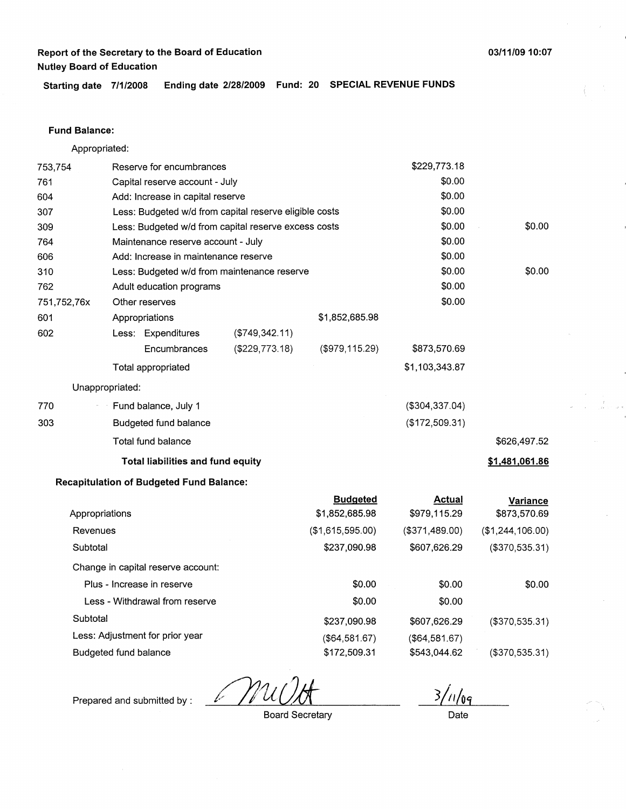**Starting date 7/1/2008 Ending date 2/28/2009 Fund: 20 SPECIAL REVENUE FUNDS** 

#### **Fund Balance:**

753,754 761 604 Appropriated: Reserve for encumbrances Capital reserve account - July Add: Increase in capital reserve 307 309 764 Less: Budgeted w/d from capital reserve eligible costs Less: Budgeted w/d from capital reserve excess costs Maintenance reserve account - July 606 Add: Increase in maintenance reserve 310 762 751,752,76x 601 Less: Budgeted w/d from maintenance reserve Adult education programs Other reserves Appropriations 602 770 **303**  Less: Expenditures **Encumbrances** Total appropriated Unappropriated: Fund balance, July 1 Budgeted fund balance Total fund balance (\$749,342.11) (\$229,773.18) **Total liabilities and fund equity Recapitulation of Budgeted Fund Balance:**  \$1,852,685.98 (\$979,115.29) **Budgeted**  \$229,773.18 \$0.00 \$0.00 \$0.00 \$0.00 \$0.00 \$0.00 \$0.00 \$0.00 \$0.00 \$873,570.69 \$1,103,343.87 (\$304,337.04) (\$172,509.31) **Actual**  \$0.00 \$0.00 \$626,497.52 **\$1,481,061.86 Variance** 

| . <u>. .</u>     |                |                  |
|------------------|----------------|------------------|
| \$1,852,685.98   | \$979,115.29   | \$873,570.69     |
| (\$1,615,595.00) | (\$371,489.00) | (\$1,244,106.00) |
| \$237,090.98     | \$607,626.29   | (\$370,535.31)   |
|                  |                |                  |
| \$0.00           | \$0.00         | \$0.00           |
| \$0.00           | \$0.00         |                  |
| \$237,090.98     | \$607.626.29   | (\$370,535.31)   |
| (\$64,581.67)    | (\$64,581.67)  |                  |
| \$172,509.31     | \$543,044.62   | (\$370,535.31)   |
|                  |                |                  |

M

Prepared and submitted by :

Board Secretary

 $3/1/09$ 

Date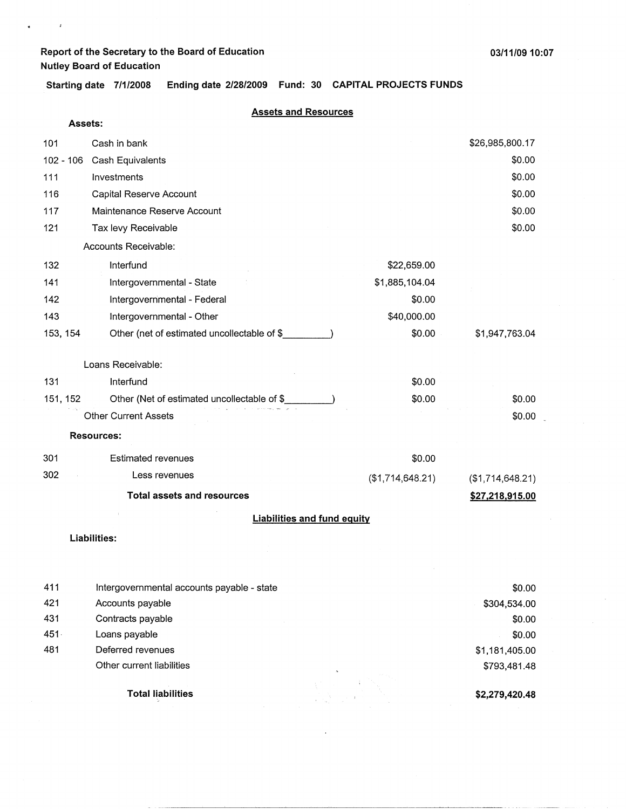$\pmb{\imath}$ 

**Starting date 7/1/2008 Ending date 2/28/2009 Fund: 30 CAPITAL PROJECTS FUNDS** 

|           | Assets:                                     |                  |                  |
|-----------|---------------------------------------------|------------------|------------------|
| 101       | Cash in bank                                |                  | \$26,985,800.17  |
| 102 - 106 | Cash Equivalents                            |                  | \$0.00           |
| 111       | Investments                                 |                  | \$0.00           |
| 116       | Capital Reserve Account                     |                  | \$0.00           |
| 117       | Maintenance Reserve Account                 |                  | \$0.00           |
| 121       | Tax levy Receivable                         |                  | \$0.00           |
|           | Accounts Receivable:                        |                  |                  |
| 132       | Interfund                                   | \$22,659.00      |                  |
| 141       | Intergovernmental - State                   | \$1,885,104.04   |                  |
| 142       | Intergovernmental - Federal                 | \$0.00           |                  |
| 143       | Intergovernmental - Other                   | \$40,000.00      |                  |
| 153, 154  | Other (net of estimated uncollectable of \$ | \$0.00           | \$1,947,763.04   |
|           |                                             |                  |                  |
|           | Loans Receivable:                           |                  |                  |
| 131       | Interfund                                   | \$0.00           |                  |
| 151, 152  | Other (Net of estimated uncollectable of \$ | \$0.00           | \$0.00           |
|           | <b>Other Current Assets</b>                 |                  | \$0.00           |
|           | <b>Resources:</b>                           |                  |                  |
| 301       | <b>Estimated revenues</b>                   | \$0.00           |                  |
| 302       | Less revenues                               | (\$1,714,648.21) | (\$1,714,648.21) |
|           | <b>Total assets and resources</b>           |                  | \$27,218,915.00  |
|           | <b>Liabilities and fund equity</b>          |                  |                  |
|           | Liabilities:                                |                  |                  |
|           |                                             |                  |                  |

|     | <b>Total liabilities</b>                   |          | \$2,279,420.48 |
|-----|--------------------------------------------|----------|----------------|
|     | Other current liabilities                  | $\Delta$ | \$793,481.48   |
| 481 | Deferred revenues                          |          | \$1,181,405.00 |
| 451 | Loans payable                              |          | \$0.00         |
| 431 | Contracts payable                          |          | \$0.00         |
| 421 | Accounts payable                           |          | \$304,534.00   |
| 411 | Intergovernmental accounts payable - state |          | \$0.00         |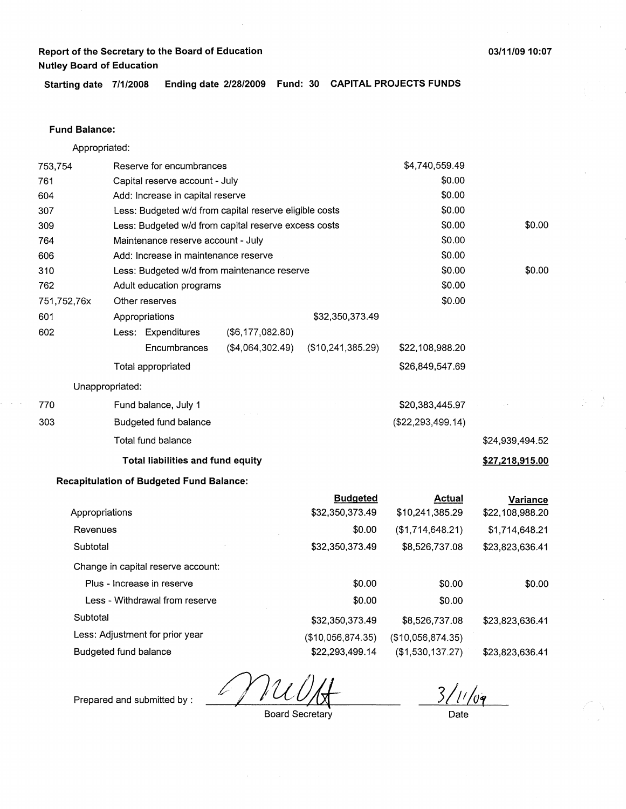**Starting date 7/1/2008 Ending date 2/28/2009 Fund: 30 CAPITAL PROJECTS FUNDS** 

## **Fund Balance:**

Appropriated:

| 753,754        |                       | Reserve for encumbrances                        |                                                        |                   | \$4,740,559.49      |                 |
|----------------|-----------------------|-------------------------------------------------|--------------------------------------------------------|-------------------|---------------------|-----------------|
| 761            |                       | Capital reserve account - July                  |                                                        |                   | \$0.00              |                 |
| 604            |                       | Add: Increase in capital reserve                |                                                        | \$0.00            |                     |                 |
| 307            |                       |                                                 | Less: Budgeted w/d from capital reserve eligible costs |                   | \$0.00              |                 |
| 309            |                       |                                                 | Less: Budgeted w/d from capital reserve excess costs   |                   | \$0.00              | \$0.00          |
| 764            |                       | Maintenance reserve account - July              |                                                        |                   | \$0.00              |                 |
| 606            |                       | Add: Increase in maintenance reserve            |                                                        |                   | \$0.00              |                 |
| 310            |                       |                                                 | Less: Budgeted w/d from maintenance reserve            |                   | \$0.00              | \$0.00          |
| 762            |                       | Adult education programs                        |                                                        |                   | \$0.00              |                 |
| 751,752,76x    |                       | Other reserves                                  |                                                        |                   | \$0.00              |                 |
| 601            |                       | Appropriations                                  |                                                        | \$32,350,373.49   |                     |                 |
| 602            |                       | Less: Expenditures                              | (\$6, 177, 082.80)                                     |                   |                     |                 |
|                |                       | Encumbrances                                    | (\$4,064,302.49)                                       | (\$10,241,385.29) | \$22,108,988.20     |                 |
|                |                       | Total appropriated                              |                                                        |                   | \$26,849,547.69     |                 |
|                | Unappropriated:       |                                                 |                                                        |                   |                     |                 |
| 770            |                       | Fund balance, July 1                            |                                                        |                   | \$20,383,445.97     |                 |
| 303            |                       | <b>Budgeted fund balance</b>                    |                                                        |                   | (\$22, 293, 499.14) |                 |
|                |                       | Total fund balance                              |                                                        |                   |                     | \$24,939,494.52 |
|                |                       | Total liabilities and fund equity               |                                                        |                   |                     | \$27,218,915.00 |
|                |                       | <b>Recapitulation of Budgeted Fund Balance:</b> |                                                        |                   |                     |                 |
|                |                       |                                                 |                                                        | <b>Budgeted</b>   | <b>Actual</b>       | <b>Variance</b> |
| Appropriations |                       |                                                 |                                                        | \$32,350,373.49   | \$10,241,385.29     | \$22,108,988.20 |
| Revenues       |                       |                                                 |                                                        | \$0.00            | (\$1,714,648.21)    | \$1,714,648.21  |
| Subtotal       |                       |                                                 |                                                        | \$32,350,373.49   | \$8,526,737.08      | \$23,823,636.41 |
|                |                       | Change in capital reserve account:              |                                                        |                   |                     |                 |
|                |                       | Plus - Increase in reserve                      |                                                        | \$0.00            | \$0.00              | \$0.00          |
|                |                       | Less - Withdrawal from reserve                  |                                                        | \$0.00            | \$0.00              |                 |
| Subtotal       |                       |                                                 |                                                        | \$32,350,373.49   | \$8,526,737.08      | \$23,823,636.41 |
|                |                       | Less: Adjustment for prior year                 |                                                        | (\$10,056,874.35) | (\$10,056,874.35)   |                 |
|                | Budgeted fund balance |                                                 |                                                        | \$22,293,499.14   | (\$1,530,137.27)    | \$23,823,636.41 |

 $311/09$ 

Prepared and submitted by :

Board Secretary

Date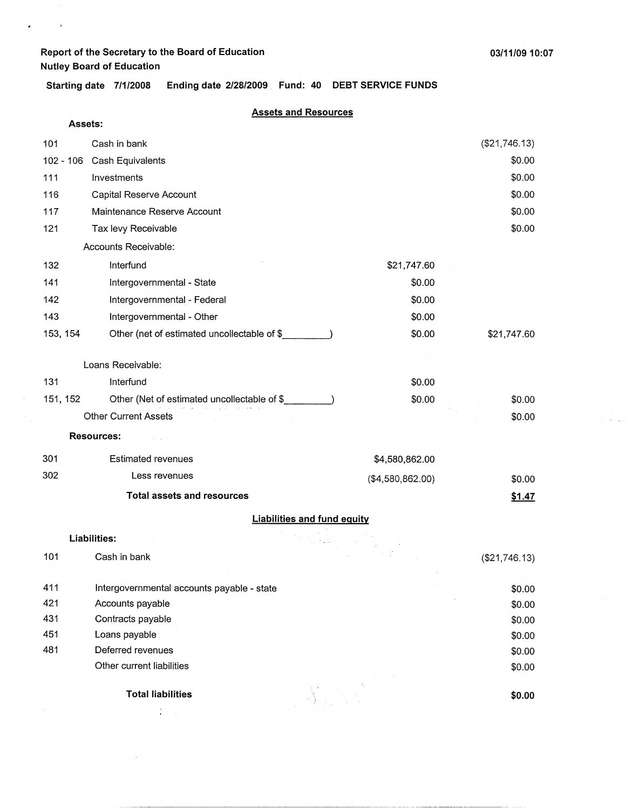$\lambda$ 

 $\sim$ 

 $\bullet$   $\bullet$   $\bullet$ 

 $\sim$  10  $^{\circ}$  and

**Starting date 7/1/2008 Ending date 2/28/2009 Fund: 40 DEBT SERVICE FUNDS** 

| Assets:  |                                                        |                                    |               |
|----------|--------------------------------------------------------|------------------------------------|---------------|
| 101      | Cash in bank                                           |                                    | (\$21,746.13) |
|          | 102 - 106 Cash Equivalents                             |                                    | \$0.00        |
| 111      | Investments                                            |                                    | \$0.00        |
| 116      | Capital Reserve Account                                |                                    | \$0.00        |
| 117      | Maintenance Reserve Account                            |                                    | \$0.00        |
| 121      | Tax levy Receivable                                    |                                    | \$0.00        |
|          | Accounts Receivable:                                   |                                    |               |
| 132      | Interfund                                              | \$21,747.60                        |               |
| 141      | Intergovernmental - State                              | \$0.00                             |               |
| 142      | Intergovernmental - Federal                            | \$0.00                             |               |
| 143      | Intergovernmental - Other                              | \$0.00                             |               |
| 153, 154 | Other (net of estimated uncollectable of \$            | \$0.00                             | \$21,747.60   |
|          |                                                        |                                    |               |
|          | Loans Receivable:                                      |                                    |               |
| 131      | Interfund                                              | \$0.00                             |               |
| 151, 152 | Other (Net of estimated uncollectable of \$__________) | \$0.00                             | \$0.00        |
|          | <b>Other Current Assets</b>                            |                                    | \$0.00        |
|          | <b>Resources:</b>                                      |                                    |               |
| 301      | <b>Estimated revenues</b>                              | \$4,580,862.00                     |               |
| 302      | Less revenues                                          | (\$4,580,862.00)                   | \$0.00        |
|          | <b>Total assets and resources</b>                      |                                    | \$1.47        |
|          |                                                        | <b>Liabilities and fund equity</b> |               |
|          | <b>Liabilities:</b>                                    |                                    |               |
| 101      | Cash in bank                                           |                                    | (\$21,746.13) |
| 411      | Intergovernmental accounts payable - state             |                                    | \$0.00        |
| 421      | Accounts payable                                       |                                    | \$0.00        |
| 431      | Contracts payable                                      |                                    | \$0.00        |
| 451      | Loans payable                                          |                                    | \$0.00        |
| 481      | Deferred revenues                                      |                                    | \$0.00        |
|          | Other current liabilities                              |                                    | \$0.00        |
|          | <b>Total liabilities</b>                               |                                    | \$0.00        |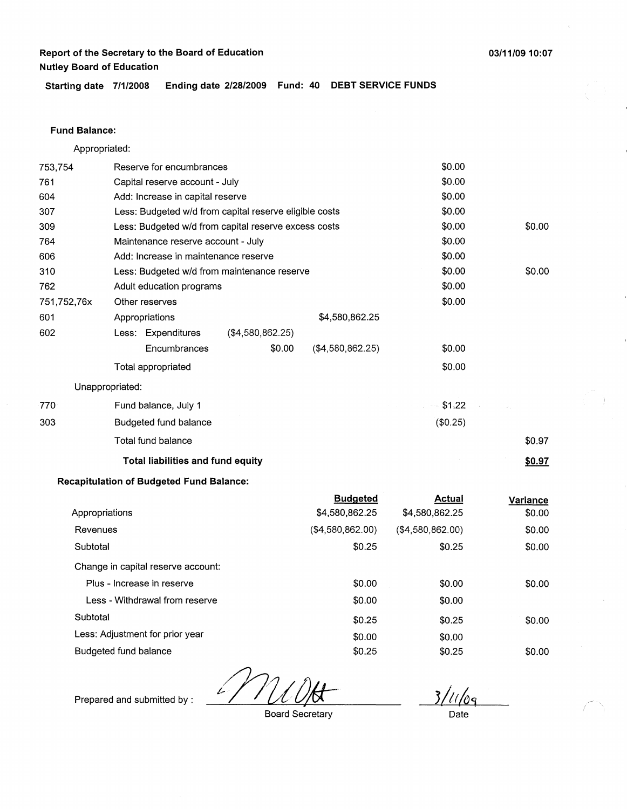**Starting date 7/1/2008 Ending date 2/28/2009 Fund: 40 DEBT SERVICE FUNDS** 

## **Fund Balance:**

Appropriated:

| 753,754     | Reserve for encumbrances                               |                  |        |                  | \$0.00           |                 |  |
|-------------|--------------------------------------------------------|------------------|--------|------------------|------------------|-----------------|--|
| 761         | Capital reserve account - July                         |                  |        |                  | \$0.00           |                 |  |
| 604         | Add: Increase in capital reserve                       |                  | \$0.00 |                  |                  |                 |  |
| 307         | Less: Budgeted w/d from capital reserve eligible costs |                  |        | \$0.00           |                  |                 |  |
| 309         | Less: Budgeted w/d from capital reserve excess costs   |                  |        |                  | \$0.00           | \$0.00          |  |
| 764         | Maintenance reserve account - July                     |                  |        |                  | \$0.00           |                 |  |
| 606         | Add: Increase in maintenance reserve                   |                  |        |                  | \$0.00           |                 |  |
| 310         | Less: Budgeted w/d from maintenance reserve            |                  |        |                  | \$0.00           | \$0.00          |  |
| 762         | Adult education programs                               |                  |        |                  | \$0.00           |                 |  |
| 751,752,76x | Other reserves                                         |                  |        |                  | \$0.00           |                 |  |
| 601         | Appropriations                                         |                  |        | \$4,580,862.25   |                  |                 |  |
| 602         | Less: Expenditures                                     | (\$4,580,862.25) |        |                  |                  |                 |  |
|             | Encumbrances                                           |                  | \$0.00 | (\$4,580,862.25) | \$0.00           |                 |  |
|             | <b>Total appropriated</b>                              |                  |        |                  | \$0.00           |                 |  |
|             | Unappropriated:                                        |                  |        |                  |                  |                 |  |
| 770         | Fund balance, July 1                                   |                  |        |                  | $-$ \$1.22       |                 |  |
| 303         | Budgeted fund balance                                  |                  |        |                  | (\$0.25)         |                 |  |
|             | Total fund balance                                     |                  |        |                  |                  | \$0.97          |  |
|             | <b>Total liabilities and fund equity</b>               |                  |        |                  |                  | \$0.97          |  |
|             | <b>Recapitulation of Budgeted Fund Balance:</b>        |                  |        |                  |                  |                 |  |
|             |                                                        |                  |        | <b>Budgeted</b>  | <b>Actual</b>    | <b>Variance</b> |  |
|             | Appropriations                                         |                  |        | \$4,580,862.25   | \$4,580,862.25   | \$0.00          |  |
| Revenues    |                                                        |                  |        | (\$4,580,862.00) | (\$4,580,862.00) | \$0.00          |  |
| Subtotal    |                                                        |                  |        | \$0.25           | \$0.25           | \$0.00          |  |
|             | Change in capital reserve account:                     |                  |        |                  |                  |                 |  |
|             | Plus - Increase in reserve                             |                  |        | \$0.00           | \$0.00           | \$0.00          |  |

Plus - Increase in reserve Less - Withdrawal from reserve Subtotal Less: Adjustment for prior year Budgeted fund balance \$0.00 \$0.00 \$0.25 \$0.00 \$0.25 \$0.00 \$0.00 \$0.25 \$0.00 \$0.25

3/11/0g

Prepared and submitted by :

Board Secretary

Date

\$0.00

\$0.00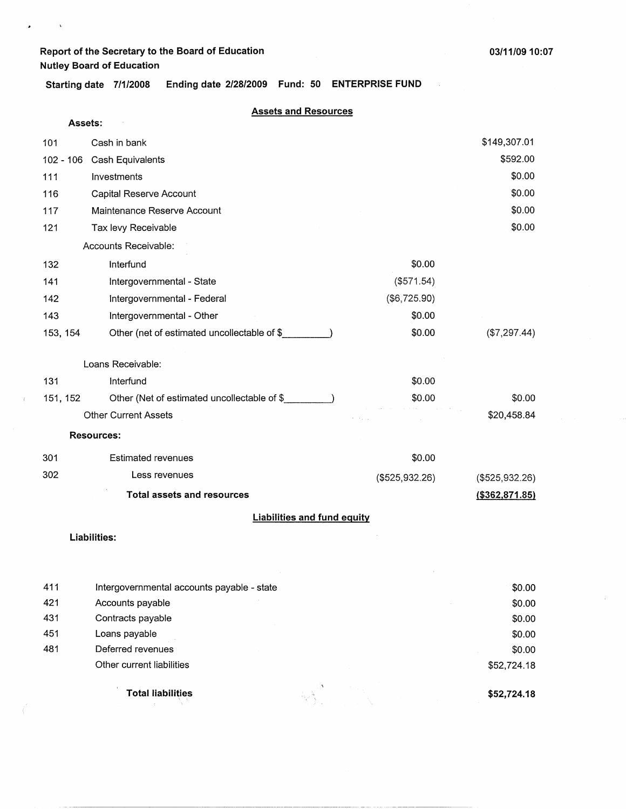$\sim$   $\sim$ 

 $\mathcal{L}^{\text{max}}$  ,  $\mathcal{L}^{\text{max}}$  $\mathbf{r}$ 

**03/11/0910:07** 

 $\hat{\mathcal{A}}$ 

**Starting date 7/1/2008 Ending date 2/28/2009 Fund: 50 ENTERPRISE FUND** 

| Assets:     |                                             |                |                  |
|-------------|---------------------------------------------|----------------|------------------|
| 101         | Cash in bank                                |                | \$149,307.01     |
| $102 - 106$ | Cash Equivalents                            |                | \$592.00         |
| 111         | Investments                                 |                | \$0.00           |
| 116         | Capital Reserve Account                     |                | \$0.00           |
| 117         | Maintenance Reserve Account                 |                | \$0.00           |
| 121         | Tax levy Receivable                         |                | \$0.00           |
|             | Accounts Receivable:                        |                |                  |
| 132         | Interfund                                   | \$0.00         |                  |
| 141         | Intergovernmental - State                   | (\$571.54)     |                  |
| 142         | Intergovernmental - Federal                 | (\$6,725.90)   |                  |
| 143         | Intergovernmental - Other                   | \$0.00         |                  |
| 153, 154    | Other (net of estimated uncollectable of \$ | \$0.00         | (\$7,297.44)     |
|             | Loans Receivable:                           |                |                  |
| 131         | Interfund                                   | \$0.00         |                  |
| 151, 152    | Other (Net of estimated uncollectable of \$ | \$0.00         | \$0.00           |
|             | <b>Other Current Assets</b>                 |                | \$20,458.84      |
|             | <b>Resources:</b>                           |                |                  |
| 301         | <b>Estimated revenues</b>                   | \$0.00         |                  |
| 302         | Less revenues                               | (\$525,932.26) | (\$525,932.26)   |
|             | <b>Total assets and resources</b>           |                | ( \$362, 871.85) |
|             | <b>Liabilities and fund equity</b>          |                |                  |
|             | Liabilities:                                |                |                  |
|             |                                             |                |                  |
|             |                                             |                |                  |
|             |                                             |                |                  |

|     | <b>Total liabilities</b>                   | \$52,724.18 |
|-----|--------------------------------------------|-------------|
|     | Other current liabilities                  | \$52,724.18 |
| 481 | Deferred revenues                          | \$0.00      |
| 451 | Loans payable                              | \$0.00      |
| 431 | Contracts payable                          | \$0.00      |
| 421 | Accounts payable                           | \$0.00      |
| 411 | Intergovernmental accounts payable - state | \$0.00      |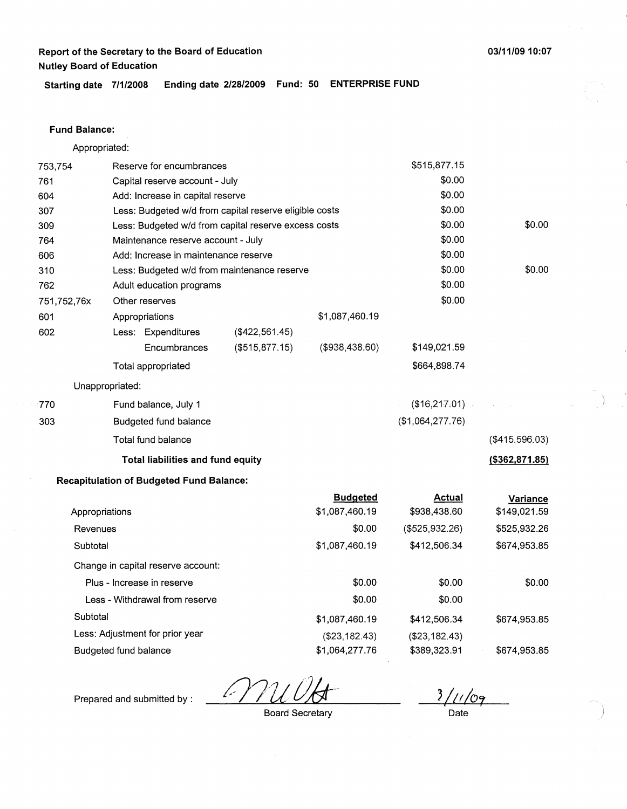**Starting date 7/1/2008 Ending date 2/28/2009 Fund: 50 ENTERPRISE FUND** 

## **Fund Balance:**

Appropriated:

| 753,754                         | Reserve for encumbrances |                                                 |                                                        |                                   | \$515,877.15                  |                                 |
|---------------------------------|--------------------------|-------------------------------------------------|--------------------------------------------------------|-----------------------------------|-------------------------------|---------------------------------|
| 761                             |                          | Capital reserve account - July                  |                                                        |                                   | \$0.00                        |                                 |
| 604                             |                          | Add: Increase in capital reserve                |                                                        |                                   | \$0.00                        |                                 |
| 307                             |                          |                                                 | Less: Budgeted w/d from capital reserve eligible costs |                                   | \$0.00                        |                                 |
| 309                             |                          |                                                 | Less: Budgeted w/d from capital reserve excess costs   |                                   | \$0.00                        | \$0.00                          |
| 764                             |                          | Maintenance reserve account - July              |                                                        |                                   | \$0.00                        |                                 |
| 606                             |                          | Add: Increase in maintenance reserve            |                                                        |                                   | \$0.00                        |                                 |
| 310                             |                          |                                                 | Less: Budgeted w/d from maintenance reserve            |                                   | \$0.00                        | \$0.00                          |
| 762                             |                          | Adult education programs                        |                                                        |                                   | \$0.00                        |                                 |
| 751,752,76x                     |                          | Other reserves                                  |                                                        |                                   | \$0.00                        |                                 |
| 601                             |                          | Appropriations                                  |                                                        | \$1,087,460.19                    |                               |                                 |
| 602                             |                          | Less: Expenditures                              | (\$422,561.45)                                         |                                   |                               |                                 |
|                                 |                          | Encumbrances                                    | $($ \$515,877.15 $)$                                   | ( \$938, 438.60)                  | \$149,021.59                  |                                 |
|                                 |                          | Total appropriated                              |                                                        |                                   | \$664,898.74                  |                                 |
|                                 | Unappropriated:          |                                                 |                                                        |                                   |                               |                                 |
| 770                             |                          | Fund balance, July 1                            |                                                        |                                   | (\$16, 217.01)                |                                 |
| 303                             |                          | <b>Budgeted fund balance</b>                    |                                                        |                                   | (\$1,064,277.76)              |                                 |
|                                 |                          | Total fund balance                              |                                                        |                                   |                               | (\$415,596.03)                  |
|                                 |                          | Total liabilities and fund equity               |                                                        |                                   |                               | ( \$362, 871.85)                |
|                                 |                          | <b>Recapitulation of Budgeted Fund Balance:</b> |                                                        |                                   |                               |                                 |
|                                 | Appropriations           |                                                 |                                                        | <b>Budgeted</b><br>\$1,087,460.19 | <b>Actual</b><br>\$938,438.60 | <b>Variance</b><br>\$149,021.59 |
| Revenues                        |                          |                                                 |                                                        | \$0.00                            | (\$525,932.26)                | \$525,932.26                    |
| Subtotal                        |                          |                                                 |                                                        | \$1,087,460.19                    | \$412,506.34                  | \$674,953.85                    |
|                                 |                          | Change in capital reserve account:              |                                                        |                                   |                               |                                 |
|                                 |                          | Plus - Increase in reserve                      |                                                        | \$0.00                            | \$0.00                        | \$0.00                          |
|                                 |                          | Less - Withdrawal from reserve                  |                                                        | \$0.00                            | \$0.00                        |                                 |
| Subtotal                        |                          |                                                 |                                                        | \$1,087,460.19                    | \$412,506.34                  | \$674,953.85                    |
| Less: Adjustment for prior year |                          |                                                 |                                                        | (\$23,182.43)                     | (\$23,182.43)                 |                                 |
| <b>Budgeted fund balance</b>    |                          |                                                 |                                                        | \$1,064,277.76                    | \$389,323.91                  | \$674,953.85                    |

k

 $3/11/09$ 

Prepared and submitted by :

Board Secretary

Date

753,754 Reserve for encumbrances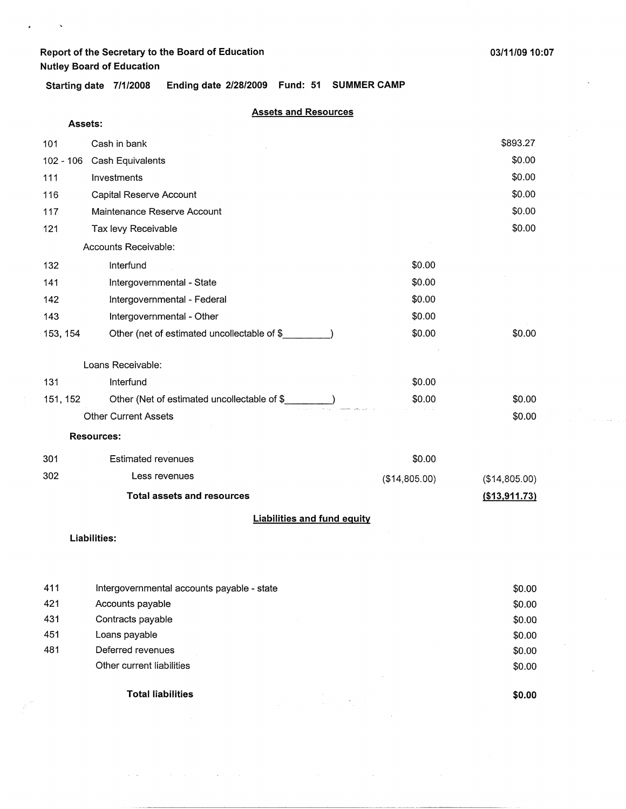**Starting date 7/1/2008 Ending date 2/28/2009 Fund: 51 SUMMER CAMP** 

#### **Assets and Resources**

| Assets:     |                                             |               |               |  |  |
|-------------|---------------------------------------------|---------------|---------------|--|--|
| 101         | Cash in bank                                |               | \$893.27      |  |  |
| $102 - 106$ | Cash Equivalents                            |               | \$0.00        |  |  |
| 111         | Investments                                 |               | \$0.00        |  |  |
| 116         | Capital Reserve Account                     |               | \$0.00        |  |  |
| 117         | Maintenance Reserve Account                 |               | \$0.00        |  |  |
| 121         | Tax levy Receivable                         |               | \$0.00        |  |  |
|             | Accounts Receivable:                        |               |               |  |  |
| 132         | Interfund                                   | \$0.00        |               |  |  |
| 141         | Intergovernmental - State                   | \$0.00        |               |  |  |
| 142         | Intergovernmental - Federal                 | \$0.00        |               |  |  |
| 143         | Intergovernmental - Other                   | \$0.00        |               |  |  |
| 153, 154    | Other (net of estimated uncollectable of \$ | \$0.00        | \$0.00        |  |  |
|             | Loans Receivable:                           |               |               |  |  |
| 131         | Interfund                                   | \$0.00        |               |  |  |
| 151, 152    | Other (Net of estimated uncollectable of \$ | \$0.00        | \$0.00        |  |  |
|             | <b>Other Current Assets</b>                 |               | \$0.00        |  |  |
|             | <b>Resources:</b>                           |               |               |  |  |
| 301         | <b>Estimated revenues</b>                   | \$0.00        |               |  |  |
| 302         | Less revenues                               | (\$14,805.00) | (\$14,805.00) |  |  |
|             | <b>Total assets and resources</b>           |               | (\$13,911.73) |  |  |
|             | <b>Liabilities and fund equity</b>          |               |               |  |  |

**Liabilities:** 

|     | <b>Total liabilities</b>                   | \$0.00 |
|-----|--------------------------------------------|--------|
|     | Other current liabilities                  | \$0.00 |
| 481 | Deferred revenues                          | \$0.00 |
| 451 | Loans payable                              | \$0.00 |
| 431 | Contracts payable                          | \$0.00 |
| 421 | Accounts payable                           | \$0.00 |
| 411 | Intergovernmental accounts payable - state | \$0.00 |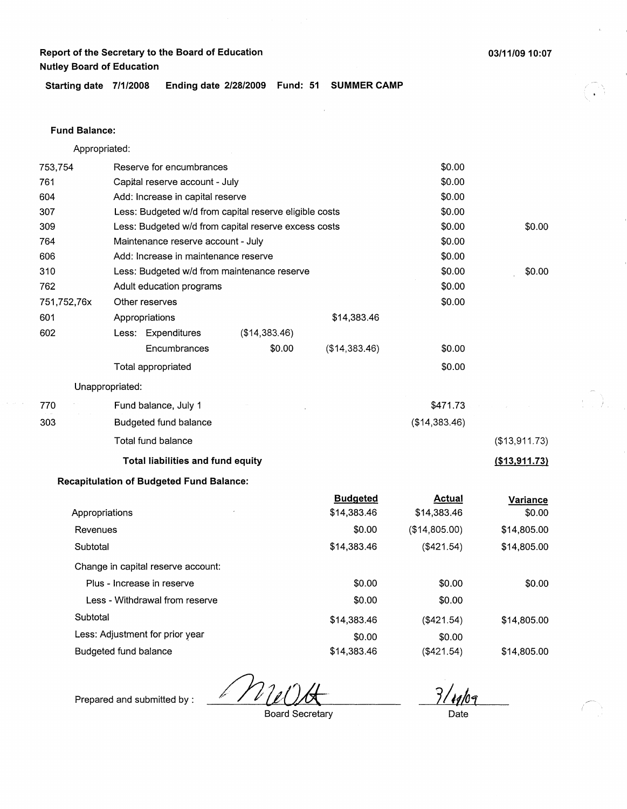**Starting date 7/1/2008 Ending date 2/28/2009 Fund: 51 SUMMER CAMP** 

#### **Fund Balance:**

Appropriated:

| 753,754               | Reserve for encumbrances |                                                 |                                                        |                                | \$0.00                       |                    |
|-----------------------|--------------------------|-------------------------------------------------|--------------------------------------------------------|--------------------------------|------------------------------|--------------------|
| 761                   |                          | Capital reserve account - July                  |                                                        |                                | \$0.00                       |                    |
| 604                   |                          | Add: Increase in capital reserve                |                                                        |                                | \$0.00                       |                    |
| 307                   |                          |                                                 | Less: Budgeted w/d from capital reserve eligible costs |                                | \$0.00                       |                    |
| 309                   |                          |                                                 | Less: Budgeted w/d from capital reserve excess costs   |                                | \$0.00                       | \$0.00             |
| 764                   |                          | Maintenance reserve account - July              |                                                        |                                | \$0.00                       |                    |
| 606                   |                          | Add: Increase in maintenance reserve            |                                                        |                                | \$0.00                       |                    |
| 310                   |                          |                                                 | Less: Budgeted w/d from maintenance reserve            |                                | \$0.00                       | \$0.00             |
| 762                   |                          | Adult education programs                        |                                                        |                                | \$0.00                       |                    |
| 751,752,76x           |                          | Other reserves                                  |                                                        |                                | \$0.00                       |                    |
| 601                   |                          | Appropriations                                  |                                                        | \$14,383.46                    |                              |                    |
| 602                   |                          | Less: Expenditures                              | (\$14,383.46)                                          |                                |                              |                    |
|                       |                          | Encumbrances                                    | \$0.00                                                 | (\$14,383.46)                  | \$0.00                       |                    |
|                       |                          | Total appropriated                              |                                                        |                                | \$0.00                       |                    |
|                       | Unappropriated:          |                                                 |                                                        |                                |                              |                    |
| 770                   |                          | Fund balance, July 1                            |                                                        |                                | \$471.73                     |                    |
| 303                   |                          | Budgeted fund balance                           |                                                        |                                | (\$14,383.46)                |                    |
|                       |                          | Total fund balance                              |                                                        |                                |                              | (\$13,911.73)      |
|                       |                          | Total liabilities and fund equity               |                                                        |                                |                              | (\$13,911.73)      |
|                       |                          | <b>Recapitulation of Budgeted Fund Balance:</b> |                                                        |                                |                              |                    |
|                       | Appropriations           |                                                 |                                                        | <b>Budgeted</b><br>\$14,383.46 | <b>Actual</b><br>\$14,383.46 | Variance<br>\$0.00 |
| Revenues              |                          |                                                 |                                                        | \$0.00                         | (\$14,805.00)                | \$14,805.00        |
| Subtotal              |                          |                                                 |                                                        | \$14,383.46                    | (\$421.54)                   | \$14,805.00        |
|                       |                          | Change in capital reserve account:              |                                                        |                                |                              |                    |
|                       |                          | Plus - Increase in reserve                      |                                                        | \$0.00                         | \$0.00                       | \$0.00             |
|                       |                          | Less - Withdrawal from reserve                  |                                                        | \$0.00                         | \$0.00                       |                    |
| Subtotal              |                          |                                                 |                                                        | \$14,383.46                    | (\$421.54)                   | \$14,805.00        |
|                       |                          | Less: Adjustment for prior year                 |                                                        | \$0.00                         | \$0.00                       |                    |
| Budgeted fund balance |                          |                                                 |                                                        | \$14,383.46                    | (\$421.54)                   | \$14,805.00        |

D- $\prime$  V  $\prime$ 

 $\frac{3}{\sqrt{140}}$ 

,---- (

Prepared and submitted by :

Board Secretary

**03/11/0910:07**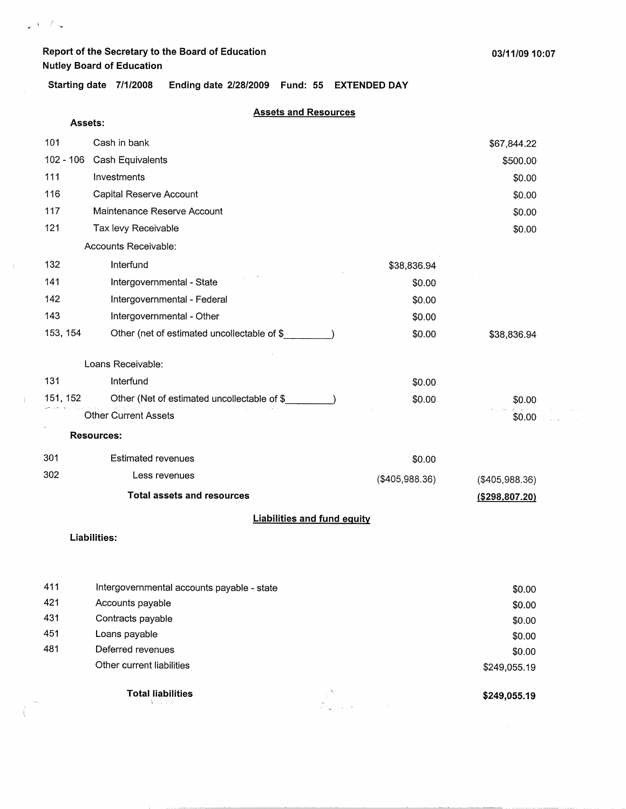**Assets:** 

 $\varphi$  and  $\theta$  is

 $\langle$ 

 $\langle$ 

**Starting date 7/1/2008 Ending date 2/28/2009 Fund: 55 EXTENDED DAY** 

## **Assets and Resources**

|             | <b>Liabilities and fund equity</b>          |                |                  |  |
|-------------|---------------------------------------------|----------------|------------------|--|
|             | <b>Total assets and resources</b>           |                | ( \$298, 807.20) |  |
| 302         | Less revenues                               | (\$405,988.36) | (\$405,988.36)   |  |
| 301         | <b>Estimated revenues</b>                   | \$0.00         |                  |  |
|             | <b>Resources:</b>                           |                |                  |  |
|             | <b>Other Current Assets</b>                 |                | \$0.00           |  |
| 151, 152    | Other (Net of estimated uncollectable of \$ | \$0.00         | \$0.00           |  |
| 131         | Interfund                                   | \$0.00         |                  |  |
|             | Loans Receivable:                           |                |                  |  |
| 153, 154    | Other (net of estimated uncollectable of \$ | \$0.00         | \$38,836.94      |  |
| 143         | Intergovernmental - Other                   | \$0.00         |                  |  |
| 142         | Intergovernmental - Federal                 | \$0.00         |                  |  |
| 141         | Intergovernmental - State                   | \$0.00         |                  |  |
| 132         | Interfund                                   | \$38,836.94    |                  |  |
|             | Accounts Receivable:                        |                |                  |  |
| 121         | Tax levy Receivable                         |                | \$0.00           |  |
| 117         | Maintenance Reserve Account                 |                | \$0.00           |  |
| 116         | Capital Reserve Account                     |                | \$0.00           |  |
| 111         | Investments                                 |                | \$0.00           |  |
| $102 - 106$ | Cash Equivalents                            |                | \$500.00         |  |
| 101         | Cash in bank                                |                | \$67,844.22      |  |
|             |                                             |                |                  |  |

#### **Liabilities:**

| \$249,055.19 | <b>Total liabilities</b><br>医前方的           |     |
|--------------|--------------------------------------------|-----|
| \$249,055.19 | Other current liabilities                  |     |
| \$0.00       | Deferred revenues                          | 481 |
| \$0.00       | Loans payable                              | 451 |
| \$0.00       | Contracts payable                          | 431 |
| \$0.00       | Accounts payable                           | 421 |
| \$0.00       | Intergovernmental accounts payable - state | 411 |
|              |                                            |     |